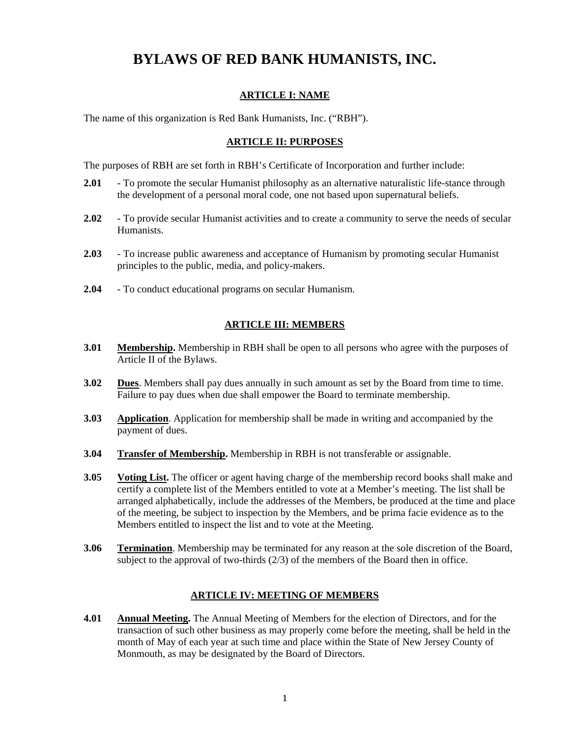# **BYLAWS OF RED BANK HUMANISTS, INC.**

#### **ARTICLE I: NAME**

The name of this organization is Red Bank Humanists, Inc. ("RBH").

#### **ARTICLE II: PURPOSES**

The purposes of RBH are set forth in RBH's Certificate of Incorporation and further include:

- **2.01** To promote the secular Humanist philosophy as an alternative naturalistic life-stance through the development of a personal moral code, one not based upon supernatural beliefs.
- **2.02** To provide secular Humanist activities and to create a community to serve the needs of secular Humanists.
- **2.03** To increase public awareness and acceptance of Humanism by promoting secular Humanist principles to the public, media, and policy-makers.
- **2.04** To conduct educational programs on secular Humanism.

#### **ARTICLE III: MEMBERS**

- **3.01 Membership.** Membership in RBH shall be open to all persons who agree with the purposes of Article II of the Bylaws.
- **3.02** Dues. Members shall pay dues annually in such amount as set by the Board from time to time. Failure to pay dues when due shall empower the Board to terminate membership.
- **3.03 Application**. Application for membership shall be made in writing and accompanied by the payment of dues.
- **3.04 Transfer of Membership.** Membership in RBH is not transferable or assignable.
- **3.05 Voting List.** The officer or agent having charge of the membership record books shall make and certify a complete list of the Members entitled to vote at a Member's meeting. The list shall be arranged alphabetically, include the addresses of the Members, be produced at the time and place of the meeting, be subject to inspection by the Members, and be prima facie evidence as to the Members entitled to inspect the list and to vote at the Meeting.
- **3.06 Termination**. Membership may be terminated for any reason at the sole discretion of the Board, subject to the approval of two-thirds  $(2/3)$  of the members of the Board then in office.

#### **ARTICLE IV: MEETING OF MEMBERS**

**4.01 Annual Meeting.** The Annual Meeting of Members for the election of Directors, and for the transaction of such other business as may properly come before the meeting, shall be held in the month of May of each year at such time and place within the State of New Jersey County of Monmouth, as may be designated by the Board of Directors.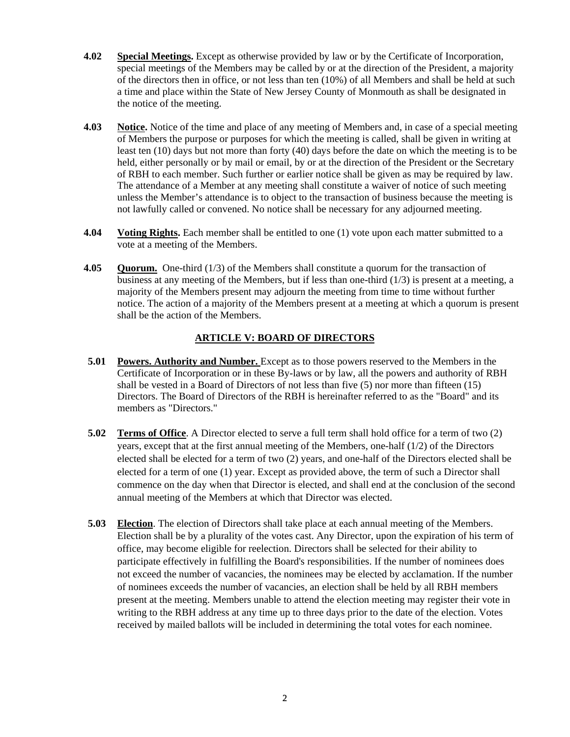- **4.02 Special Meetings.** Except as otherwise provided by law or by the Certificate of Incorporation, special meetings of the Members may be called by or at the direction of the President, a majority of the directors then in office, or not less than ten (10%) of all Members and shall be held at such a time and place within the State of New Jersey County of Monmouth as shall be designated in the notice of the meeting.
- **4.03 Notice.** Notice of the time and place of any meeting of Members and, in case of a special meeting of Members the purpose or purposes for which the meeting is called, shall be given in writing at least ten (10) days but not more than forty (40) days before the date on which the meeting is to be held, either personally or by mail or email, by or at the direction of the President or the Secretary of RBH to each member. Such further or earlier notice shall be given as may be required by law. The attendance of a Member at any meeting shall constitute a waiver of notice of such meeting unless the Member's attendance is to object to the transaction of business because the meeting is not lawfully called or convened. No notice shall be necessary for any adjourned meeting.
- **4.04 Voting Rights.** Each member shall be entitled to one (1) vote upon each matter submitted to a vote at a meeting of the Members.
- **4.05 Quorum.** One-third (1/3) of the Members shall constitute a quorum for the transaction of business at any meeting of the Members, but if less than one-third  $(1/3)$  is present at a meeting, a majority of the Members present may adjourn the meeting from time to time without further notice. The action of a majority of the Members present at a meeting at which a quorum is present shall be the action of the Members.

## **ARTICLE V: BOARD OF DIRECTORS**

- **5.01 Powers. Authority and Number.** Except as to those powers reserved to the Members in the Certificate of Incorporation or in these By-laws or by law, all the powers and authority of RBH shall be vested in a Board of Directors of not less than five (5) nor more than fifteen (15) Directors. The Board of Directors of the RBH is hereinafter referred to as the "Board" and its members as "Directors."
- **5.02 Terms of Office**. A Director elected to serve a full term shall hold office for a term of two (2) years, except that at the first annual meeting of the Members, one-half (1/2) of the Directors elected shall be elected for a term of two (2) years, and one-half of the Directors elected shall be elected for a term of one (1) year. Except as provided above, the term of such a Director shall commence on the day when that Director is elected, and shall end at the conclusion of the second annual meeting of the Members at which that Director was elected.
- **5.03 Election**. The election of Directors shall take place at each annual meeting of the Members. Election shall be by a plurality of the votes cast. Any Director, upon the expiration of his term of office, may become eligible for reelection. Directors shall be selected for their ability to participate effectively in fulfilling the Board's responsibilities. If the number of nominees does not exceed the number of vacancies, the nominees may be elected by acclamation. If the number of nominees exceeds the number of vacancies, an election shall be held by all RBH members present at the meeting. Members unable to attend the election meeting may register their vote in writing to the RBH address at any time up to three days prior to the date of the election. Votes received by mailed ballots will be included in determining the total votes for each nominee.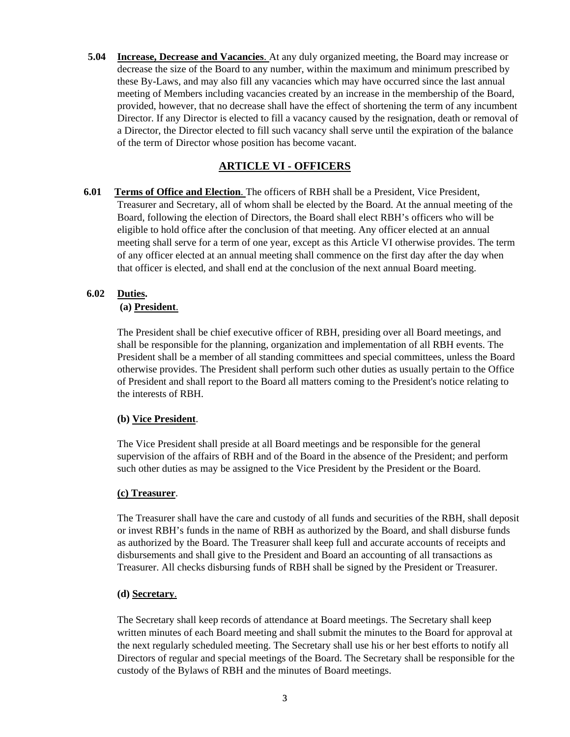**5.04 Increase, Decrease and Vacancies**. At any duly organized meeting, the Board may increase or decrease the size of the Board to any number, within the maximum and minimum prescribed by these By-Laws, and may also fill any vacancies which may have occurred since the last annual meeting of Members including vacancies created by an increase in the membership of the Board, provided, however, that no decrease shall have the effect of shortening the term of any incumbent Director. If any Director is elected to fill a vacancy caused by the resignation, death or removal of a Director, the Director elected to fill such vacancy shall serve until the expiration of the balance of the term of Director whose position has become vacant.

# **ARTICLE VI - OFFICERS**

**6.01 Terms of Office and Election**. The officers of RBH shall be a President, Vice President, Treasurer and Secretary, all of whom shall be elected by the Board. At the annual meeting of the Board, following the election of Directors, the Board shall elect RBH's officers who will be eligible to hold office after the conclusion of that meeting. Any officer elected at an annual meeting shall serve for a term of one year, except as this Article VI otherwise provides. The term of any officer elected at an annual meeting shall commence on the first day after the day when that officer is elected, and shall end at the conclusion of the next annual Board meeting.

# **6.02 Duties.**

## **(a) President**.

The President shall be chief executive officer of RBH, presiding over all Board meetings, and shall be responsible for the planning, organization and implementation of all RBH events. The President shall be a member of all standing committees and special committees, unless the Board otherwise provides. The President shall perform such other duties as usually pertain to the Office of President and shall report to the Board all matters coming to the President's notice relating to the interests of RBH.

## **(b) Vice President**.

The Vice President shall preside at all Board meetings and be responsible for the general supervision of the affairs of RBH and of the Board in the absence of the President; and perform such other duties as may be assigned to the Vice President by the President or the Board.

## **(c) Treasurer**.

The Treasurer shall have the care and custody of all funds and securities of the RBH, shall deposit or invest RBH's funds in the name of RBH as authorized by the Board, and shall disburse funds as authorized by the Board. The Treasurer shall keep full and accurate accounts of receipts and disbursements and shall give to the President and Board an accounting of all transactions as Treasurer. All checks disbursing funds of RBH shall be signed by the President or Treasurer.

## **(d) Secretary**.

The Secretary shall keep records of attendance at Board meetings. The Secretary shall keep written minutes of each Board meeting and shall submit the minutes to the Board for approval at the next regularly scheduled meeting. The Secretary shall use his or her best efforts to notify all Directors of regular and special meetings of the Board. The Secretary shall be responsible for the custody of the Bylaws of RBH and the minutes of Board meetings.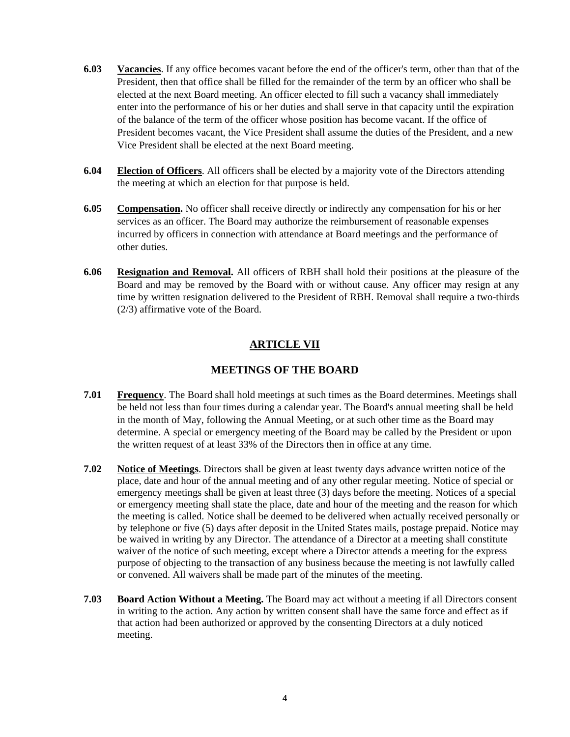- **6.03 Vacancies**. If any office becomes vacant before the end of the officer's term, other than that of the President, then that office shall be filled for the remainder of the term by an officer who shall be elected at the next Board meeting. An officer elected to fill such a vacancy shall immediately enter into the performance of his or her duties and shall serve in that capacity until the expiration of the balance of the term of the officer whose position has become vacant. If the office of President becomes vacant, the Vice President shall assume the duties of the President, and a new Vice President shall be elected at the next Board meeting.
- **6.04 Election of Officers**. All officers shall be elected by a majority vote of the Directors attending the meeting at which an election for that purpose is held.
- **6.05 Compensation.** No officer shall receive directly or indirectly any compensation for his or her services as an officer. The Board may authorize the reimbursement of reasonable expenses incurred by officers in connection with attendance at Board meetings and the performance of other duties.
- **6.06 Resignation and Removal.** All officers of RBH shall hold their positions at the pleasure of the Board and may be removed by the Board with or without cause. Any officer may resign at any time by written resignation delivered to the President of RBH. Removal shall require a two-thirds (2/3) affirmative vote of the Board.

# **ARTICLE VII**

# **MEETINGS OF THE BOARD**

- **7.01 Frequency**. The Board shall hold meetings at such times as the Board determines. Meetings shall be held not less than four times during a calendar year. The Board's annual meeting shall be held in the month of May, following the Annual Meeting, or at such other time as the Board may determine. A special or emergency meeting of the Board may be called by the President or upon the written request of at least 33% of the Directors then in office at any time.
- **7.02 Notice of Meetings**. Directors shall be given at least twenty days advance written notice of the place, date and hour of the annual meeting and of any other regular meeting. Notice of special or emergency meetings shall be given at least three (3) days before the meeting. Notices of a special or emergency meeting shall state the place, date and hour of the meeting and the reason for which the meeting is called. Notice shall be deemed to be delivered when actually received personally or by telephone or five (5) days after deposit in the United States mails, postage prepaid. Notice may be waived in writing by any Director. The attendance of a Director at a meeting shall constitute waiver of the notice of such meeting, except where a Director attends a meeting for the express purpose of objecting to the transaction of any business because the meeting is not lawfully called or convened. All waivers shall be made part of the minutes of the meeting.
- **7.03 Board Action Without a Meeting.** The Board may act without a meeting if all Directors consent in writing to the action. Any action by written consent shall have the same force and effect as if that action had been authorized or approved by the consenting Directors at a duly noticed meeting.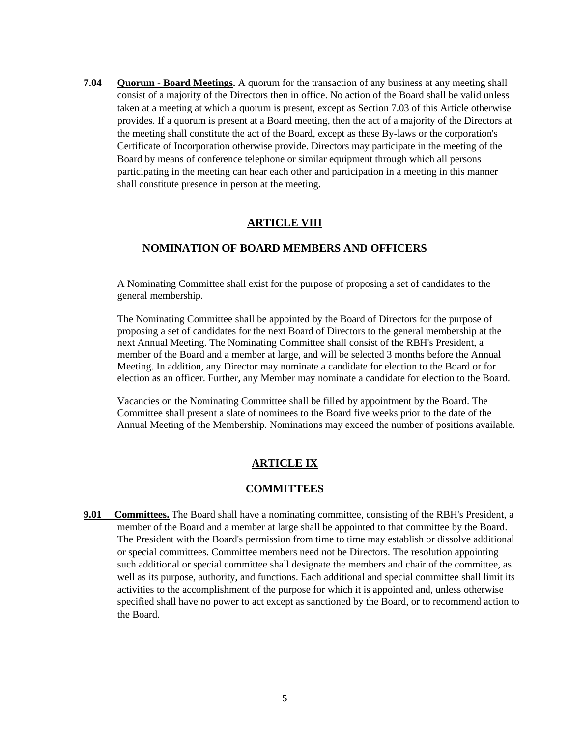**7.04 Quorum - Board Meetings.** A quorum for the transaction of any business at any meeting shall consist of a majority of the Directors then in office. No action of the Board shall be valid unless taken at a meeting at which a quorum is present, except as Section 7.03 of this Article otherwise provides. If a quorum is present at a Board meeting, then the act of a majority of the Directors at the meeting shall constitute the act of the Board, except as these By-laws or the corporation's Certificate of Incorporation otherwise provide. Directors may participate in the meeting of the Board by means of conference telephone or similar equipment through which all persons participating in the meeting can hear each other and participation in a meeting in this manner shall constitute presence in person at the meeting.

## **ARTICLE VIII**

#### **NOMINATION OF BOARD MEMBERS AND OFFICERS**

A Nominating Committee shall exist for the purpose of proposing a set of candidates to the general membership.

The Nominating Committee shall be appointed by the Board of Directors for the purpose of proposing a set of candidates for the next Board of Directors to the general membership at the next Annual Meeting. The Nominating Committee shall consist of the RBH's President, a member of the Board and a member at large, and will be selected 3 months before the Annual Meeting. In addition, any Director may nominate a candidate for election to the Board or for election as an officer. Further, any Member may nominate a candidate for election to the Board.

Vacancies on the Nominating Committee shall be filled by appointment by the Board. The Committee shall present a slate of nominees to the Board five weeks prior to the date of the Annual Meeting of the Membership. Nominations may exceed the number of positions available.

#### **ARTICLE IX**

#### **COMMITTEES**

**9.01 Committees.** The Board shall have a nominating committee, consisting of the RBH's President, a member of the Board and a member at large shall be appointed to that committee by the Board. The President with the Board's permission from time to time may establish or dissolve additional or special committees. Committee members need not be Directors. The resolution appointing such additional or special committee shall designate the members and chair of the committee, as well as its purpose, authority, and functions. Each additional and special committee shall limit its activities to the accomplishment of the purpose for which it is appointed and, unless otherwise specified shall have no power to act except as sanctioned by the Board, or to recommend action to the Board.